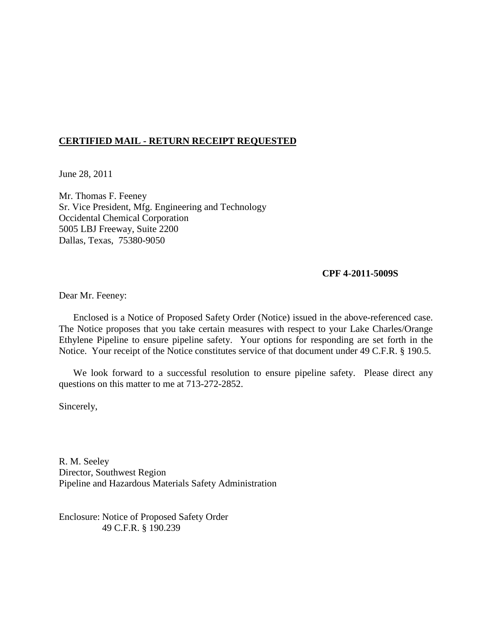# **CERTIFIED MAIL - RETURN RECEIPT REQUESTED**

June 28, 2011

Mr. Thomas F. Feeney Sr. Vice President, Mfg. Engineering and Technology Occidental Chemical Corporation 5005 LBJ Freeway, Suite 2200 Dallas, Texas, 75380-9050

#### **CPF 4-2011-5009S**

Dear Mr. Feeney:

Enclosed is a Notice of Proposed Safety Order (Notice) issued in the above-referenced case. The Notice proposes that you take certain measures with respect to your Lake Charles/Orange Ethylene Pipeline to ensure pipeline safety. Your options for responding are set forth in the Notice. Your receipt of the Notice constitutes service of that document under 49 C.F.R. § 190.5.

We look forward to a successful resolution to ensure pipeline safety. Please direct any questions on this matter to me at 713-272-2852.

Sincerely,

R. M. Seeley Director, Southwest Region Pipeline and Hazardous Materials Safety Administration

Enclosure: Notice of Proposed Safety Order 49 C.F.R. § 190.239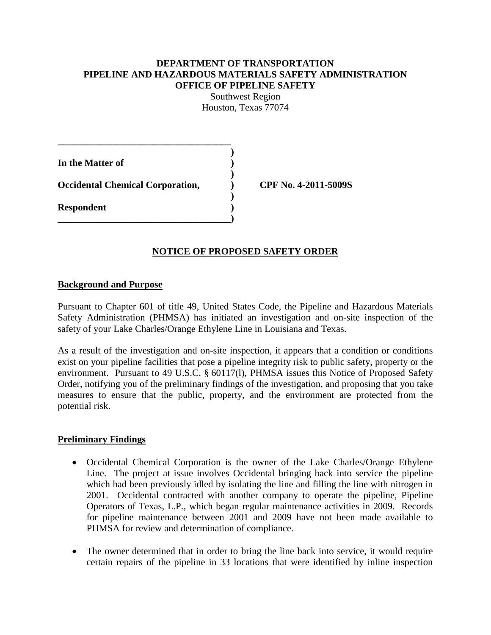### **DEPARTMENT OF TRANSPORTATION PIPELINE AND HAZARDOUS MATERIALS SAFETY ADMINISTRATION OFFICE OF PIPELINE SAFETY**

Southwest Region Houston, Texas 77074

**)**

**)**

**)**

**In the Matter of ) Occidental Chemical Corporation, ) CPF No. 4-2011-5009S Respondent ) \_\_\_\_\_\_\_\_\_\_\_\_\_\_\_\_\_\_\_\_\_\_\_\_\_\_\_\_\_\_\_\_\_\_\_\_)**

**\_\_\_\_\_\_\_\_\_\_\_\_\_\_\_\_\_\_\_\_\_\_\_\_\_\_\_\_\_\_\_\_\_\_\_\_**

## **NOTICE OF PROPOSED SAFETY ORDER**

### **Background and Purpose**

Pursuant to Chapter 601 of title 49, United States Code, the Pipeline and Hazardous Materials Safety Administration (PHMSA) has initiated an investigation and on-site inspection of the safety of your Lake Charles/Orange Ethylene Line in Louisiana and Texas.

As a result of the investigation and on-site inspection, it appears that a condition or conditions exist on your pipeline facilities that pose a pipeline integrity risk to public safety, property or the environment. Pursuant to 49 U.S.C. § 60117(l), PHMSA issues this Notice of Proposed Safety Order, notifying you of the preliminary findings of the investigation, and proposing that you take measures to ensure that the public, property, and the environment are protected from the potential risk.

## **Preliminary Findings**

- Occidental Chemical Corporation is the owner of the Lake Charles/Orange Ethylene Line. The project at issue involves Occidental bringing back into service the pipeline which had been previously idled by isolating the line and filling the line with nitrogen in 2001. Occidental contracted with another company to operate the pipeline, Pipeline Operators of Texas, L.P., which began regular maintenance activities in 2009. Records for pipeline maintenance between 2001 and 2009 have not been made available to PHMSA for review and determination of compliance.
- The owner determined that in order to bring the line back into service, it would require certain repairs of the pipeline in 33 locations that were identified by inline inspection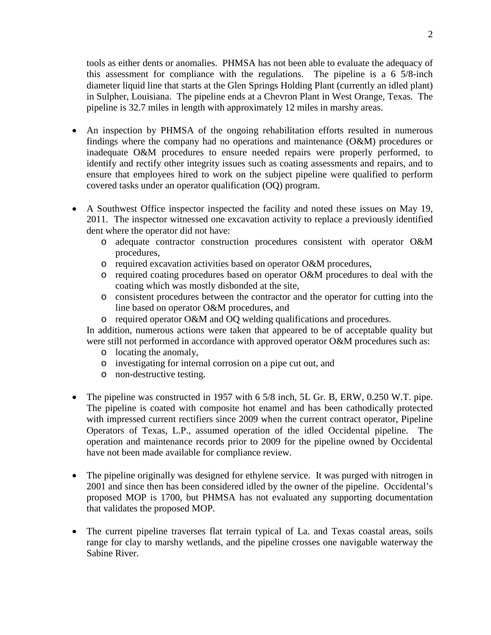tools as either dents or anomalies. PHMSA has not been able to evaluate the adequacy of this assessment for compliance with the regulations. The pipeline is a 6 5/8-inch diameter liquid line that starts at the Glen Springs Holding Plant (currently an idled plant) in Sulpher, Louisiana. The pipeline ends at a Chevron Plant in West Orange, Texas. The pipeline is 32.7 miles in length with approximately 12 miles in marshy areas.

- An inspection by PHMSA of the ongoing rehabilitation efforts resulted in numerous findings where the company had no operations and maintenance (O&M) procedures or inadequate O&M procedures to ensure needed repairs were properly performed, to identify and rectify other integrity issues such as coating assessments and repairs, and to ensure that employees hired to work on the subject pipeline were qualified to perform covered tasks under an operator qualification (OQ) program.
- A Southwest Office inspector inspected the facility and noted these issues on May 19, 2011. The inspector witnessed one excavation activity to replace a previously identified dent where the operator did not have:
	- o adequate contractor construction procedures consistent with operator O&M procedures,
	- o required excavation activities based on operator O&M procedures,
	- o required coating procedures based on operator O&M procedures to deal with the coating which was mostly disbonded at the site,
	- o consistent procedures between the contractor and the operator for cutting into the line based on operator O&M procedures, and
	- o required operator O&M and OQ welding qualifications and procedures.

In addition, numerous actions were taken that appeared to be of acceptable quality but were still not performed in accordance with approved operator O&M procedures such as:

- o locating the anomaly,
- o investigating for internal corrosion on a pipe cut out, and
- o non-destructive testing.
- The pipeline was constructed in 1957 with 6 5/8 inch, 5L Gr. B, ERW, 0.250 W.T. pipe. The pipeline is coated with composite hot enamel and has been cathodically protected with impressed current rectifiers since 2009 when the current contract operator, Pipeline Operators of Texas, L.P., assumed operation of the idled Occidental pipeline. The operation and maintenance records prior to 2009 for the pipeline owned by Occidental have not been made available for compliance review.
- The pipeline originally was designed for ethylene service. It was purged with nitrogen in 2001 and since then has been considered idled by the owner of the pipeline. Occidental's proposed MOP is 1700, but PHMSA has not evaluated any supporting documentation that validates the proposed MOP.
- The current pipeline traverses flat terrain typical of La. and Texas coastal areas, soils range for clay to marshy wetlands, and the pipeline crosses one navigable waterway the Sabine River.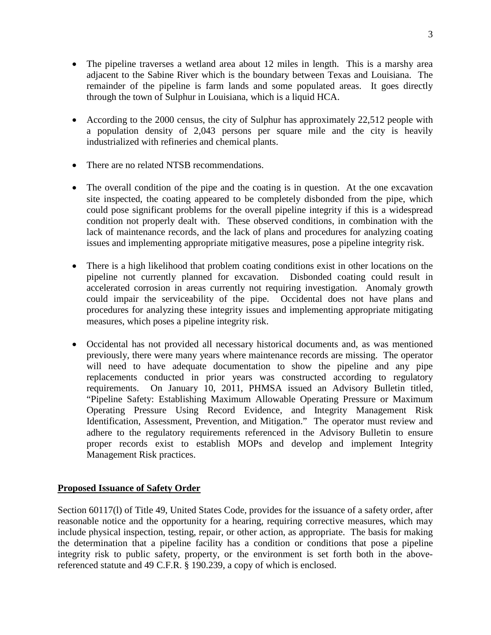- The pipeline traverses a wetland area about 12 miles in length. This is a marshy area adjacent to the Sabine River which is the boundary between Texas and Louisiana. The remainder of the pipeline is farm lands and some populated areas. It goes directly through the town of Sulphur in Louisiana, which is a liquid HCA.
- According to the 2000 census, the city of Sulphur has approximately 22,512 people with a population density of 2,043 persons per square mile and the city is heavily industrialized with refineries and chemical plants.
- There are no related NTSB recommendations.
- The overall condition of the pipe and the coating is in question. At the one excavation site inspected, the coating appeared to be completely disbonded from the pipe, which could pose significant problems for the overall pipeline integrity if this is a widespread condition not properly dealt with. These observed conditions, in combination with the lack of maintenance records, and the lack of plans and procedures for analyzing coating issues and implementing appropriate mitigative measures, pose a pipeline integrity risk.
- There is a high likelihood that problem coating conditions exist in other locations on the pipeline not currently planned for excavation. Disbonded coating could result in accelerated corrosion in areas currently not requiring investigation. Anomaly growth could impair the serviceability of the pipe. Occidental does not have plans and procedures for analyzing these integrity issues and implementing appropriate mitigating measures, which poses a pipeline integrity risk.
- Occidental has not provided all necessary historical documents and, as was mentioned previously, there were many years where maintenance records are missing. The operator will need to have adequate documentation to show the pipeline and any pipe replacements conducted in prior years was constructed according to regulatory requirements. On January 10, 2011, PHMSA issued an Advisory Bulletin titled, "Pipeline Safety: Establishing Maximum Allowable Operating Pressure or Maximum Operating Pressure Using Record Evidence, and Integrity Management Risk Identification, Assessment, Prevention, and Mitigation." The operator must review and adhere to the regulatory requirements referenced in the Advisory Bulletin to ensure proper records exist to establish MOPs and develop and implement Integrity Management Risk practices.

# **Proposed Issuance of Safety Order**

Section 60117(l) of Title 49, United States Code, provides for the issuance of a safety order, after reasonable notice and the opportunity for a hearing, requiring corrective measures, which may include physical inspection, testing, repair, or other action, as appropriate. The basis for making the determination that a pipeline facility has a condition or conditions that pose a pipeline integrity risk to public safety, property, or the environment is set forth both in the abovereferenced statute and 49 C.F.R. § 190.239, a copy of which is enclosed.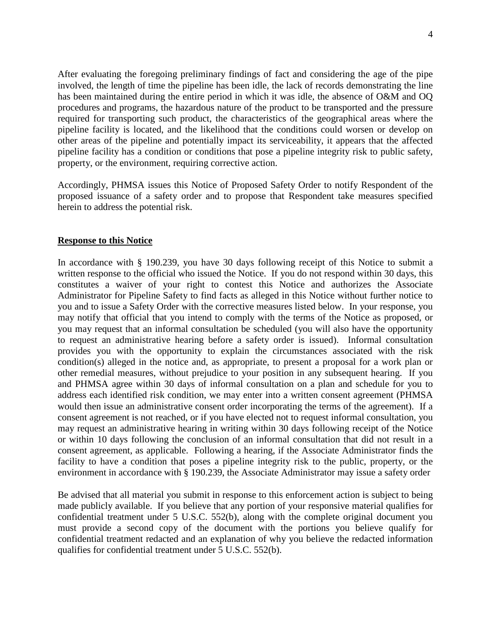After evaluating the foregoing preliminary findings of fact and considering the age of the pipe involved, the length of time the pipeline has been idle, the lack of records demonstrating the line has been maintained during the entire period in which it was idle, the absence of O&M and OQ procedures and programs, the hazardous nature of the product to be transported and the pressure required for transporting such product, the characteristics of the geographical areas where the pipeline facility is located, and the likelihood that the conditions could worsen or develop on other areas of the pipeline and potentially impact its serviceability, it appears that the affected pipeline facility has a condition or conditions that pose a pipeline integrity risk to public safety, property, or the environment, requiring corrective action.

Accordingly, PHMSA issues this Notice of Proposed Safety Order to notify Respondent of the proposed issuance of a safety order and to propose that Respondent take measures specified herein to address the potential risk.

#### **Response to this Notice**

In accordance with § 190.239, you have 30 days following receipt of this Notice to submit a written response to the official who issued the Notice. If you do not respond within 30 days, this constitutes a waiver of your right to contest this Notice and authorizes the Associate Administrator for Pipeline Safety to find facts as alleged in this Notice without further notice to you and to issue a Safety Order with the corrective measures listed below. In your response, you may notify that official that you intend to comply with the terms of the Notice as proposed, or you may request that an informal consultation be scheduled (you will also have the opportunity to request an administrative hearing before a safety order is issued). Informal consultation provides you with the opportunity to explain the circumstances associated with the risk condition(s) alleged in the notice and, as appropriate, to present a proposal for a work plan or other remedial measures, without prejudice to your position in any subsequent hearing. If you and PHMSA agree within 30 days of informal consultation on a plan and schedule for you to address each identified risk condition, we may enter into a written consent agreement (PHMSA would then issue an administrative consent order incorporating the terms of the agreement). If a consent agreement is not reached, or if you have elected not to request informal consultation, you may request an administrative hearing in writing within 30 days following receipt of the Notice or within 10 days following the conclusion of an informal consultation that did not result in a consent agreement, as applicable. Following a hearing, if the Associate Administrator finds the facility to have a condition that poses a pipeline integrity risk to the public, property, or the environment in accordance with § 190.239, the Associate Administrator may issue a safety order

Be advised that all material you submit in response to this enforcement action is subject to being made publicly available. If you believe that any portion of your responsive material qualifies for confidential treatment under 5 U.S.C. 552(b), along with the complete original document you must provide a second copy of the document with the portions you believe qualify for confidential treatment redacted and an explanation of why you believe the redacted information qualifies for confidential treatment under 5 U.S.C. 552(b).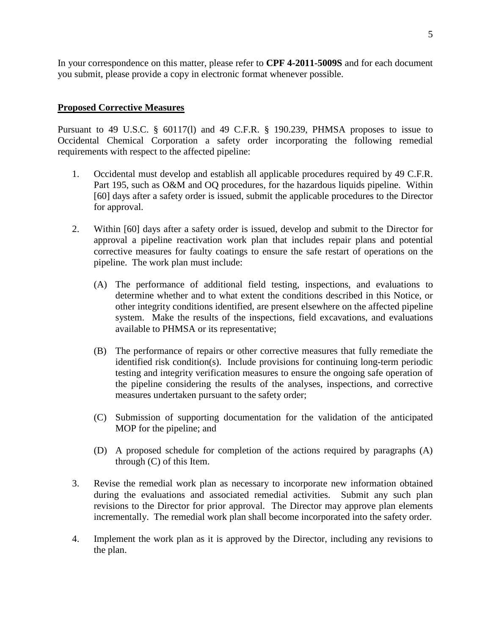In your correspondence on this matter, please refer to **CPF 4-2011-5009S** and for each document you submit, please provide a copy in electronic format whenever possible.

## **Proposed Corrective Measures**

Pursuant to 49 U.S.C. § 60117(l) and 49 C.F.R. § 190.239, PHMSA proposes to issue to Occidental Chemical Corporation a safety order incorporating the following remedial requirements with respect to the affected pipeline:

- 1. Occidental must develop and establish all applicable procedures required by 49 C.F.R. Part 195, such as O&M and OQ procedures, for the hazardous liquids pipeline. Within [60] days after a safety order is issued, submit the applicable procedures to the Director for approval.
- 2. Within [60] days after a safety order is issued, develop and submit to the Director for approval a pipeline reactivation work plan that includes repair plans and potential corrective measures for faulty coatings to ensure the safe restart of operations on the pipeline. The work plan must include:
	- (A) The performance of additional field testing, inspections, and evaluations to determine whether and to what extent the conditions described in this Notice, or other integrity conditions identified, are present elsewhere on the affected pipeline system. Make the results of the inspections, field excavations, and evaluations available to PHMSA or its representative;
	- (B) The performance of repairs or other corrective measures that fully remediate the identified risk condition(s). Include provisions for continuing long-term periodic testing and integrity verification measures to ensure the ongoing safe operation of the pipeline considering the results of the analyses, inspections, and corrective measures undertaken pursuant to the safety order;
	- (C) Submission of supporting documentation for the validation of the anticipated MOP for the pipeline; and
	- (D) A proposed schedule for completion of the actions required by paragraphs (A) through (C) of this Item.
- 3. Revise the remedial work plan as necessary to incorporate new information obtained during the evaluations and associated remedial activities. Submit any such plan revisions to the Director for prior approval. The Director may approve plan elements incrementally. The remedial work plan shall become incorporated into the safety order.
- 4. Implement the work plan as it is approved by the Director, including any revisions to the plan.